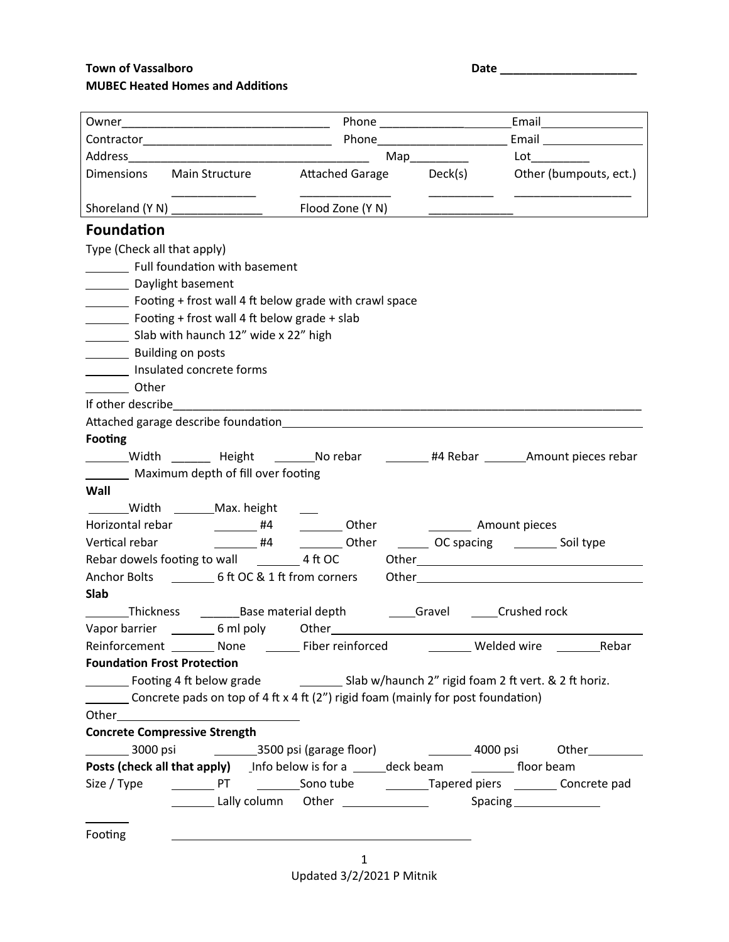## **Town of Vassalboro Date 2018 MUBEC Heated Homes and Additions**

|                                    |                                                                                                                                                                                                                                     |                                                                                                                                                                                                                                | Map___________ |                                                                                                                                                                                                                                     |  |  |
|------------------------------------|-------------------------------------------------------------------------------------------------------------------------------------------------------------------------------------------------------------------------------------|--------------------------------------------------------------------------------------------------------------------------------------------------------------------------------------------------------------------------------|----------------|-------------------------------------------------------------------------------------------------------------------------------------------------------------------------------------------------------------------------------------|--|--|
|                                    |                                                                                                                                                                                                                                     | Dimensions Main Structure Attached Garage Deck(s) Other (bumpouts, ect.)                                                                                                                                                       |                |                                                                                                                                                                                                                                     |  |  |
|                                    |                                                                                                                                                                                                                                     |                                                                                                                                                                                                                                |                |                                                                                                                                                                                                                                     |  |  |
| <b>Foundation</b>                  |                                                                                                                                                                                                                                     |                                                                                                                                                                                                                                |                |                                                                                                                                                                                                                                     |  |  |
| Type (Check all that apply)        |                                                                                                                                                                                                                                     |                                                                                                                                                                                                                                |                |                                                                                                                                                                                                                                     |  |  |
|                                    | Full foundation with basement                                                                                                                                                                                                       |                                                                                                                                                                                                                                |                |                                                                                                                                                                                                                                     |  |  |
| Daylight basement                  |                                                                                                                                                                                                                                     |                                                                                                                                                                                                                                |                |                                                                                                                                                                                                                                     |  |  |
|                                    |                                                                                                                                                                                                                                     | Footing + frost wall 4 ft below grade with crawl space                                                                                                                                                                         |                |                                                                                                                                                                                                                                     |  |  |
|                                    | Footing + frost wall 4 ft below grade + slab                                                                                                                                                                                        |                                                                                                                                                                                                                                |                |                                                                                                                                                                                                                                     |  |  |
|                                    | Slab with haunch 12" wide x 22" high                                                                                                                                                                                                |                                                                                                                                                                                                                                |                |                                                                                                                                                                                                                                     |  |  |
| <b>EXAMPLE Building on posts</b>   |                                                                                                                                                                                                                                     |                                                                                                                                                                                                                                |                |                                                                                                                                                                                                                                     |  |  |
|                                    | Insulated concrete forms                                                                                                                                                                                                            |                                                                                                                                                                                                                                |                |                                                                                                                                                                                                                                     |  |  |
| Other                              |                                                                                                                                                                                                                                     |                                                                                                                                                                                                                                |                |                                                                                                                                                                                                                                     |  |  |
|                                    |                                                                                                                                                                                                                                     |                                                                                                                                                                                                                                |                |                                                                                                                                                                                                                                     |  |  |
|                                    |                                                                                                                                                                                                                                     | Attached garage describe foundation and the contract of the contract of the contract of the contract of the contract of the contract of the contract of the contract of the contract of the contract of the contract of the co |                |                                                                                                                                                                                                                                     |  |  |
| <b>Footing</b>                     |                                                                                                                                                                                                                                     |                                                                                                                                                                                                                                |                |                                                                                                                                                                                                                                     |  |  |
|                                    |                                                                                                                                                                                                                                     | _______Width _______ Height ________No rebar \imegational #4 Rebar _______Amount pieces rebar                                                                                                                                  |                |                                                                                                                                                                                                                                     |  |  |
|                                    | Maximum depth of fill over footing                                                                                                                                                                                                  |                                                                                                                                                                                                                                |                |                                                                                                                                                                                                                                     |  |  |
| Wall                               |                                                                                                                                                                                                                                     |                                                                                                                                                                                                                                |                |                                                                                                                                                                                                                                     |  |  |
|                                    | _________Width _________Max. height                                                                                                                                                                                                 |                                                                                                                                                                                                                                |                |                                                                                                                                                                                                                                     |  |  |
| Vertical rebar                     | Horizontal rebar [1982] #4                                                                                                                                                                                                          |                                                                                                                                                                                                                                |                | Other _________ Amount pieces                                                                                                                                                                                                       |  |  |
|                                    |                                                                                                                                                                                                                                     |                                                                                                                                                                                                                                |                |                                                                                                                                                                                                                                     |  |  |
|                                    |                                                                                                                                                                                                                                     | Anchor Bolts __________ 6 ft OC & 1 ft from corners                                                                                                                                                                            |                | Other <b>contracts</b> and contracts are a series of the contract of the contracts of the contracts of the contracts of the contracts of the contracts of the contracts of the contracts of the contracts of the contracts of the c |  |  |
| <b>Slab</b>                        |                                                                                                                                                                                                                                     |                                                                                                                                                                                                                                |                |                                                                                                                                                                                                                                     |  |  |
|                                    |                                                                                                                                                                                                                                     | _______Thickness ___________Base material depth                                                                                                                                                                                |                | Gravel ______Crushed rock                                                                                                                                                                                                           |  |  |
|                                    |                                                                                                                                                                                                                                     |                                                                                                                                                                                                                                |                |                                                                                                                                                                                                                                     |  |  |
|                                    |                                                                                                                                                                                                                                     |                                                                                                                                                                                                                                |                |                                                                                                                                                                                                                                     |  |  |
| <b>Foundation Frost Protection</b> |                                                                                                                                                                                                                                     |                                                                                                                                                                                                                                |                |                                                                                                                                                                                                                                     |  |  |
|                                    |                                                                                                                                                                                                                                     |                                                                                                                                                                                                                                |                |                                                                                                                                                                                                                                     |  |  |
|                                    |                                                                                                                                                                                                                                     | Concrete pads on top of 4 ft x 4 ft $(2'')$ rigid foam (mainly for post foundation)                                                                                                                                            |                |                                                                                                                                                                                                                                     |  |  |
|                                    | Other <b>contracts</b> and contracts are all the contracts of the contracts of the contracts of the contracts of the contracts of the contracts of the contracts of the contracts of the contracts of the contracts of the contract |                                                                                                                                                                                                                                |                |                                                                                                                                                                                                                                     |  |  |
|                                    | <b>Concrete Compressive Strength</b>                                                                                                                                                                                                |                                                                                                                                                                                                                                |                |                                                                                                                                                                                                                                     |  |  |
|                                    |                                                                                                                                                                                                                                     | __________ 3000 psi     _________3500 psi (garage floor)      _________ 4000 psi    Other___________                                                                                                                           |                |                                                                                                                                                                                                                                     |  |  |
|                                    |                                                                                                                                                                                                                                     |                                                                                                                                                                                                                                |                |                                                                                                                                                                                                                                     |  |  |
|                                    |                                                                                                                                                                                                                                     |                                                                                                                                                                                                                                |                |                                                                                                                                                                                                                                     |  |  |
|                                    |                                                                                                                                                                                                                                     |                                                                                                                                                                                                                                |                |                                                                                                                                                                                                                                     |  |  |
|                                    |                                                                                                                                                                                                                                     |                                                                                                                                                                                                                                |                |                                                                                                                                                                                                                                     |  |  |
| Footing                            |                                                                                                                                                                                                                                     |                                                                                                                                                                                                                                |                |                                                                                                                                                                                                                                     |  |  |

1 Updated 3/2/2021 P Mitnik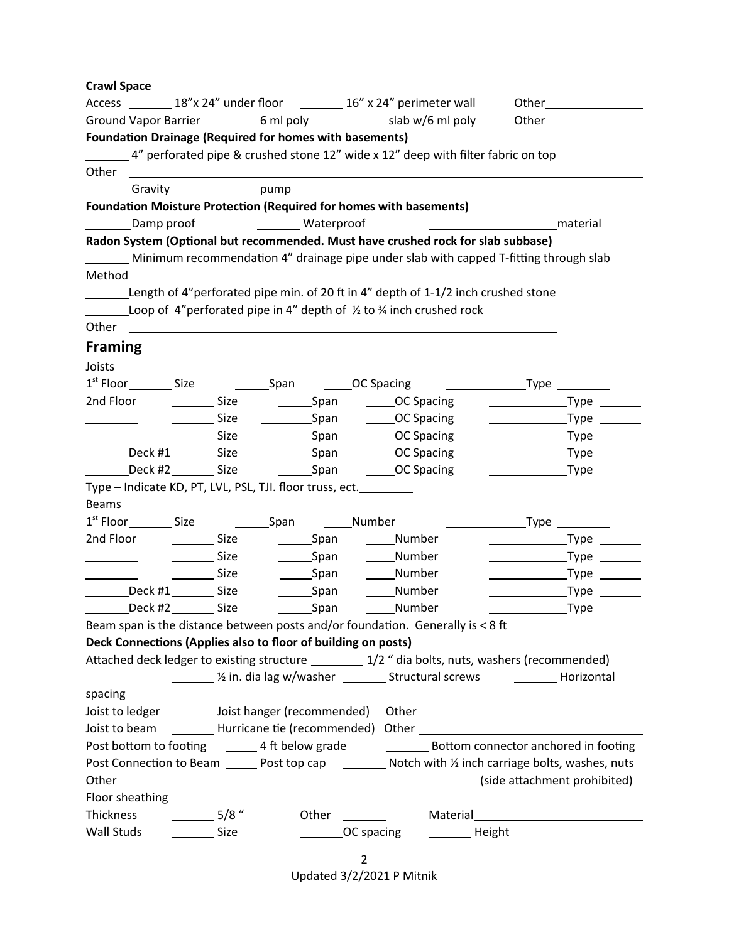|                                       |                        |                                             |                                                                                                                | Access _________ 18"x 24" under floor _________ 16" x 24" perimeter wall                                |                                                                                                                       |  |
|---------------------------------------|------------------------|---------------------------------------------|----------------------------------------------------------------------------------------------------------------|---------------------------------------------------------------------------------------------------------|-----------------------------------------------------------------------------------------------------------------------|--|
|                                       |                        |                                             |                                                                                                                |                                                                                                         |                                                                                                                       |  |
|                                       |                        |                                             | <b>Foundation Drainage (Required for homes with basements)</b>                                                 |                                                                                                         |                                                                                                                       |  |
|                                       |                        |                                             |                                                                                                                | 4" perforated pipe & crushed stone 12" wide x 12" deep with filter fabric on top                        |                                                                                                                       |  |
| Other                                 |                        |                                             |                                                                                                                |                                                                                                         |                                                                                                                       |  |
| Gravity                               |                        | $\rule{1em}{0.15mm}$ pump                   |                                                                                                                |                                                                                                         |                                                                                                                       |  |
|                                       |                        |                                             |                                                                                                                | <b>Foundation Moisture Protection (Required for homes with basements)</b>                               |                                                                                                                       |  |
|                                       |                        |                                             | Lamp proof Communication Communication Communication Communication Communication Communication Communication C |                                                                                                         | material                                                                                                              |  |
|                                       |                        |                                             |                                                                                                                | Radon System (Optional but recommended. Must have crushed rock for slab subbase)                        |                                                                                                                       |  |
|                                       |                        |                                             |                                                                                                                | Minimum recommendation 4" drainage pipe under slab with capped T-fitting through slab                   |                                                                                                                       |  |
| Method                                |                        |                                             |                                                                                                                |                                                                                                         |                                                                                                                       |  |
|                                       |                        |                                             |                                                                                                                | Length of 4"perforated pipe min. of 20 ft in 4" depth of 1-1/2 inch crushed stone                       |                                                                                                                       |  |
|                                       |                        |                                             |                                                                                                                | $\frac{1}{2}$ Loop of 4"perforated pipe in 4" depth of $\frac{1}{2}$ to $\frac{3}{4}$ inch crushed rock |                                                                                                                       |  |
|                                       |                        |                                             |                                                                                                                |                                                                                                         |                                                                                                                       |  |
| <b>Framing</b>                        |                        |                                             |                                                                                                                |                                                                                                         |                                                                                                                       |  |
| Joists                                |                        |                                             |                                                                                                                |                                                                                                         |                                                                                                                       |  |
| $1st$ Floor $\rule{1em}{0.15mm}$ Size |                        |                                             | Span <b>CO</b> Spacing                                                                                         |                                                                                                         |                                                                                                                       |  |
| 2nd Floor                             |                        |                                             |                                                                                                                | Size Size Span CC Spacing                                                                               | _Type _______                                                                                                         |  |
|                                       |                        | Size                                        | ____________Span                                                                                               | ______OC Spacing                                                                                        |                                                                                                                       |  |
|                                       |                        | Size                                        |                                                                                                                | ____________Span ___________OC Spacing                                                                  |                                                                                                                       |  |
| __________Deck #1__________ Size      |                        |                                             |                                                                                                                |                                                                                                         |                                                                                                                       |  |
| Deck #2 __________ Size               |                        |                                             |                                                                                                                |                                                                                                         |                                                                                                                       |  |
|                                       |                        |                                             | Type - Indicate KD, PT, LVL, PSL, TJI. floor truss, ect.                                                       |                                                                                                         |                                                                                                                       |  |
| <b>Beams</b>                          |                        |                                             |                                                                                                                |                                                                                                         |                                                                                                                       |  |
| 1 <sup>st</sup> Floor Size            |                        |                                             | Span Mumber                                                                                                    |                                                                                                         |                                                                                                                       |  |
| 2nd Floor                             |                        | Size                                        | __________Span _________Number                                                                                 |                                                                                                         | _Type $\rule{1em}{0.15mm}$                                                                                            |  |
|                                       |                        | Size                                        | _______Span                                                                                                    | _____Number                                                                                             | _Type _______                                                                                                         |  |
|                                       |                        | Size                                        |                                                                                                                | _________Span ___________Number                                                                         |                                                                                                                       |  |
|                                       | Deck #1__________ Size |                                             | $\rule{1em}{0.15mm}$ Span                                                                                      | _____Number                                                                                             |                                                                                                                       |  |
| Deck #2 _________ Size                |                        |                                             | _____________Span                                                                                              | ______Number                                                                                            | _Type                                                                                                                 |  |
|                                       |                        |                                             |                                                                                                                | Beam span is the distance between posts and/or foundation. Generally is < 8 ft                          |                                                                                                                       |  |
|                                       |                        |                                             | Deck Connections (Applies also to floor of building on posts)                                                  |                                                                                                         |                                                                                                                       |  |
|                                       |                        |                                             |                                                                                                                | Attached deck ledger to existing structure _________ 1/2 " dia bolts, nuts, washers (recommended)       |                                                                                                                       |  |
|                                       |                        |                                             |                                                                                                                |                                                                                                         |                                                                                                                       |  |
| spacing                               |                        |                                             |                                                                                                                |                                                                                                         |                                                                                                                       |  |
|                                       |                        |                                             |                                                                                                                |                                                                                                         |                                                                                                                       |  |
|                                       |                        |                                             |                                                                                                                |                                                                                                         | Joist to beam __________Hurricane tie (recommended) Other ______________________                                      |  |
|                                       |                        |                                             |                                                                                                                |                                                                                                         | Post bottom to footing ________ 4 ft below grade ________________________________Bottom connector anchored in footing |  |
|                                       |                        |                                             |                                                                                                                |                                                                                                         | Post Connection to Beam _______ Post top cap ___________ Notch with 1/2 inch carriage bolts, washes, nuts             |  |
|                                       |                        |                                             |                                                                                                                |                                                                                                         |                                                                                                                       |  |
| Floor sheathing                       |                        |                                             |                                                                                                                |                                                                                                         |                                                                                                                       |  |
| Thickness                             |                        | $\frac{1}{\sqrt{25}}$ 5/8 $^{\prime\prime}$ |                                                                                                                |                                                                                                         |                                                                                                                       |  |
|                                       |                        | <b>Size</b>                                 |                                                                                                                | ______OC spacing<br>__________ Height                                                                   |                                                                                                                       |  |

2 Updated 3/2/2021 P Mitnik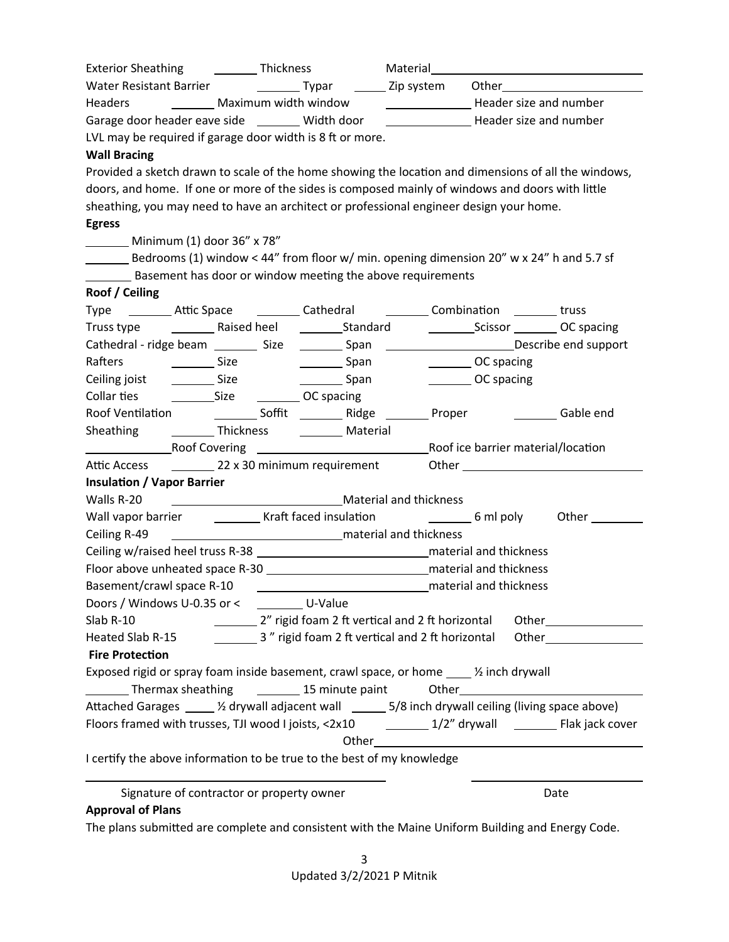| Exterior Sheathing ______________ Thickness                                                               |                                                                                                                                                                                                                                      |                                                       | Material______ |                        |                               |
|-----------------------------------------------------------------------------------------------------------|--------------------------------------------------------------------------------------------------------------------------------------------------------------------------------------------------------------------------------------|-------------------------------------------------------|----------------|------------------------|-------------------------------|
|                                                                                                           | Other <b>Communist Communist Communist Communist Communist Communist Communist Communist Communist Communist Communist Communist Communist Communist Communist Communist Communist Communist Communist Communist Communist Commu</b> |                                                       |                |                        |                               |
| Headers ___________ Maximum width window                                                                  |                                                                                                                                                                                                                                      | Header size and number                                |                |                        |                               |
| Garage door header eave side ________ Width door ________________________________ Header size and number  |                                                                                                                                                                                                                                      |                                                       |                |                        |                               |
| LVL may be required if garage door width is 8 ft or more.                                                 |                                                                                                                                                                                                                                      |                                                       |                |                        |                               |
| <b>Wall Bracing</b>                                                                                       |                                                                                                                                                                                                                                      |                                                       |                |                        |                               |
| Provided a sketch drawn to scale of the home showing the location and dimensions of all the windows,      |                                                                                                                                                                                                                                      |                                                       |                |                        |                               |
| doors, and home. If one or more of the sides is composed mainly of windows and doors with little          |                                                                                                                                                                                                                                      |                                                       |                |                        |                               |
| sheathing, you may need to have an architect or professional engineer design your home.                   |                                                                                                                                                                                                                                      |                                                       |                |                        |                               |
| <b>Egress</b>                                                                                             |                                                                                                                                                                                                                                      |                                                       |                |                        |                               |
| Minimum (1) door 36" x 78"                                                                                |                                                                                                                                                                                                                                      |                                                       |                |                        |                               |
| Bedrooms (1) window < 44" from floor w/ min. opening dimension 20" w x 24" h and 5.7 sf                   |                                                                                                                                                                                                                                      |                                                       |                |                        |                               |
| Basement has door or window meeting the above requirements                                                |                                                                                                                                                                                                                                      |                                                       |                |                        |                               |
| Roof / Ceiling                                                                                            |                                                                                                                                                                                                                                      |                                                       |                |                        |                               |
| Type __________ Attic Space ___________ Cathedral ___________ Combination _________ truss                 |                                                                                                                                                                                                                                      |                                                       |                |                        |                               |
|                                                                                                           |                                                                                                                                                                                                                                      |                                                       |                |                        | Scissor __________ OC spacing |
| Cathedral - ridge beam ____________ Size ___________Span ____________________________Describe end support |                                                                                                                                                                                                                                      |                                                       |                |                        |                               |
| Rafters<br><u>sa a sa Size</u> Size                                                                       |                                                                                                                                                                                                                                      | __________ Span                                       |                | OC spacing             |                               |
| Ceiling joist                                                                                             | $\frac{1}{\sqrt{1-\frac{1}{2}}}\text{Size}$                                                                                                                                                                                          | ________ Span                                         |                | OC spacing             |                               |
|                                                                                                           |                                                                                                                                                                                                                                      |                                                       |                |                        |                               |
|                                                                                                           |                                                                                                                                                                                                                                      |                                                       |                |                        |                               |
| Sheathing                                                                                                 |                                                                                                                                                                                                                                      | ___________ Thickness _____________ Material          |                |                        |                               |
| <b>Example 2 Roof Covering</b>                                                                            |                                                                                                                                                                                                                                      | Roof ice barrier material/location                    |                |                        |                               |
| Attic Access                                                                                              |                                                                                                                                                                                                                                      | 22 x 30 minimum requirement                           |                |                        |                               |
| <b>Insulation / Vapor Barrier</b>                                                                         |                                                                                                                                                                                                                                      |                                                       |                |                        |                               |
| Walls R-20                                                                                                |                                                                                                                                                                                                                                      | Material and thickness Material and thickness         |                |                        |                               |
| Wall vapor barrier ____________ Kraft faced insulation __________________________ 6 ml poly               |                                                                                                                                                                                                                                      |                                                       |                |                        |                               |
| Ceiling R-49                                                                                              |                                                                                                                                                                                                                                      | <b>Example 2</b> and thickness material and thickness |                |                        |                               |
|                                                                                                           |                                                                                                                                                                                                                                      |                                                       |                |                        |                               |
|                                                                                                           |                                                                                                                                                                                                                                      |                                                       |                |                        |                               |
| Basement/crawl space R-10                                                                                 |                                                                                                                                                                                                                                      |                                                       |                | material and thickness |                               |
| Doors / Windows U-0.35 or < __________ U-Value                                                            |                                                                                                                                                                                                                                      |                                                       |                |                        |                               |
| Slab R-10                                                                                                 |                                                                                                                                                                                                                                      | 2" rigid foam 2 ft vertical and 2 ft horizontal       |                |                        |                               |
| Heated Slab R-15                                                                                          |                                                                                                                                                                                                                                      | 3" rigid foam 2 ft vertical and 2 ft horizontal       |                |                        |                               |
| <b>Fire Protection</b>                                                                                    |                                                                                                                                                                                                                                      |                                                       |                |                        |                               |
| Exposed rigid or spray foam inside basement, crawl space, or home $\_\_\_\_$ inch drywall                 |                                                                                                                                                                                                                                      |                                                       |                |                        |                               |
| Thermax sheathing 15 minute paint                                                                         |                                                                                                                                                                                                                                      |                                                       |                |                        |                               |
| Attached Garages _____ ½ drywall adjacent wall ______ 5/8 inch drywall ceiling (living space above)       |                                                                                                                                                                                                                                      |                                                       |                |                        |                               |
| Floors framed with trusses, TJI wood I joists, <2x10 1/2" drywall 1/2" drywall 2007 Flak jack cover       |                                                                                                                                                                                                                                      |                                                       |                |                        |                               |
|                                                                                                           |                                                                                                                                                                                                                                      |                                                       |                |                        |                               |
| I certify the above information to be true to the best of my knowledge                                    |                                                                                                                                                                                                                                      |                                                       |                |                        |                               |
| Signature of contractor or property owner                                                                 |                                                                                                                                                                                                                                      |                                                       |                |                        | Date                          |
| <b>Approval of Plans</b>                                                                                  |                                                                                                                                                                                                                                      |                                                       |                |                        |                               |
| The plans submitted are complete and consistent with the Maine Uniform Building and Energy Code.          |                                                                                                                                                                                                                                      |                                                       |                |                        |                               |

3 Updated 3/2/2021 P Mitnik